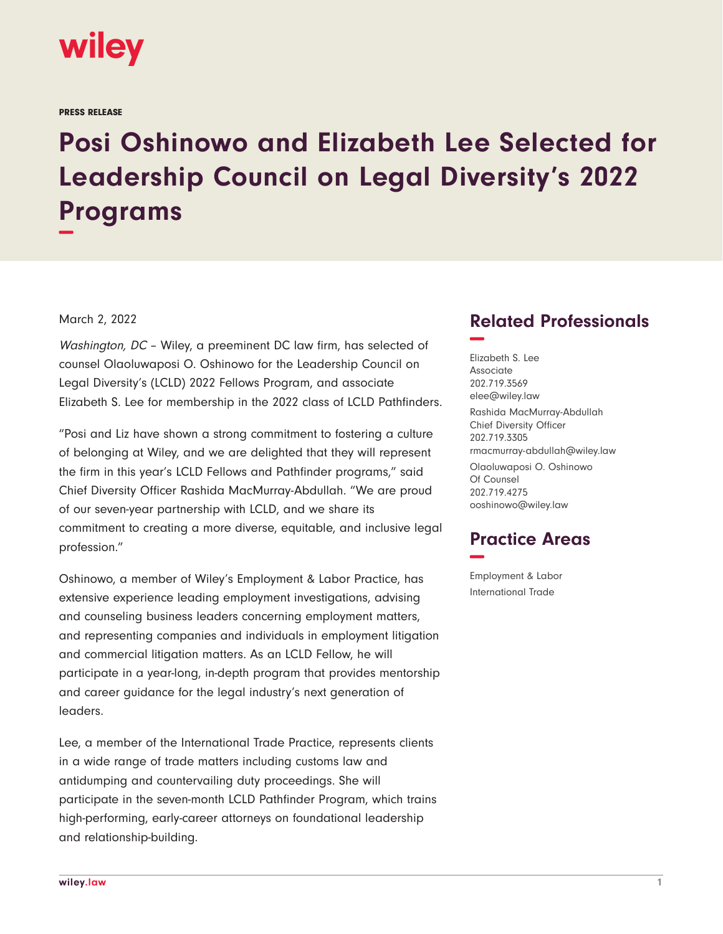

PRESS RELEASE

## **Posi Oshinowo and Elizabeth Lee Selected for Leadership Council on Legal Diversity's 2022 Programs −**

## March 2, 2022

Washington, DC – Wiley, a preeminent DC law firm, has selected of counsel Olaoluwaposi O. Oshinowo for the Leadership Council on Legal Diversity's (LCLD) 2022 Fellows Program, and associate Elizabeth S. Lee for membership in the 2022 class of LCLD Pathfinders.

"Posi and Liz have shown a strong commitment to fostering a culture of belonging at Wiley, and we are delighted that they will represent the firm in this year's LCLD Fellows and Pathfinder programs," said Chief Diversity Officer Rashida MacMurray-Abdullah. "We are proud of our seven-year partnership with LCLD, and we share its commitment to creating a more diverse, equitable, and inclusive legal profession."

Oshinowo, a member of Wiley's Employment & Labor Practice, has extensive experience leading employment investigations, advising and counseling business leaders concerning employment matters, and representing companies and individuals in employment litigation and commercial litigation matters. As an LCLD Fellow, he will participate in a year-long, in-depth program that provides mentorship and career guidance for the legal industry's next generation of leaders.

Lee, a member of the International Trade Practice, represents clients in a wide range of trade matters including customs law and antidumping and countervailing duty proceedings. She will participate in the seven-month LCLD Pathfinder Program, which trains high-performing, early-career attorneys on foundational leadership and relationship-building.

## **Related Professionals −**

Elizabeth S. Lee Associate 202.719.3569 elee@wiley.law Rashida MacMurray-Abdullah Chief Diversity Officer 202.719.3305 rmacmurray-abdullah@wiley.law

Olaoluwaposi O. Oshinowo Of Counsel 202.719.4275 ooshinowo@wiley.law

## **Practice Areas −**

Employment & Labor International Trade